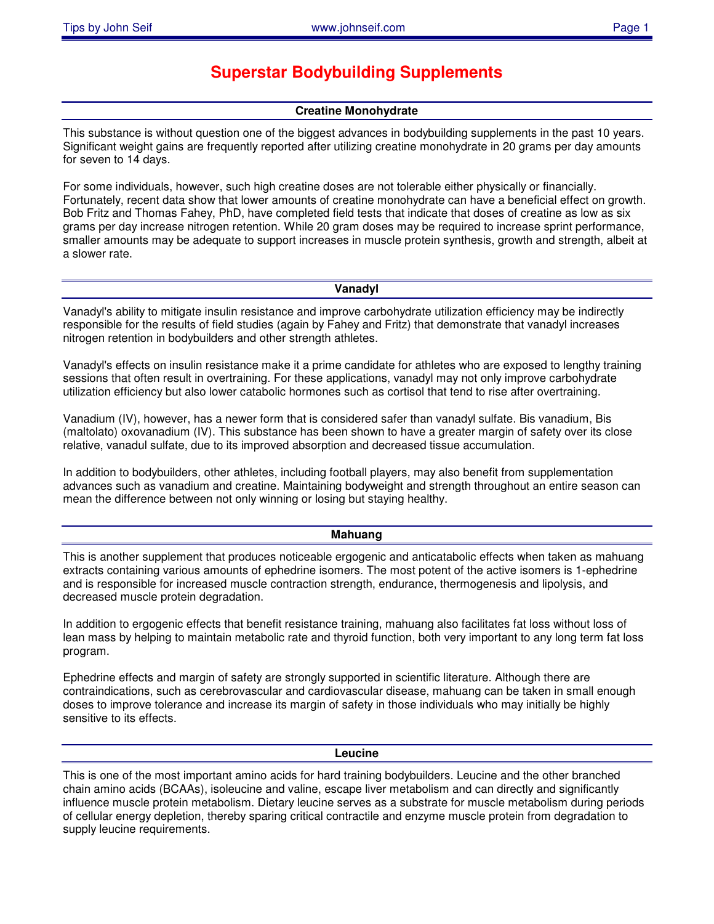# **Superstar Bodybuilding Supplements**

# **Creatine Monohydrate**

This substance is without question one of the biggest advances in bodybuilding supplements in the past 10 years. Significant weight gains are frequently reported after utilizing creatine monohydrate in 20 grams per day amounts for seven to 14 days.

For some individuals, however, such high creatine doses are not tolerable either physically or financially. Fortunately, recent data show that lower amounts of creatine monohydrate can have a beneficial effect on growth. Bob Fritz and Thomas Fahey, PhD, have completed field tests that indicate that doses of creatine as low as six grams per day increase nitrogen retention. While 20 gram doses may be required to increase sprint performance, smaller amounts may be adequate to support increases in muscle protein synthesis, growth and strength, albeit at a slower rate.

#### **Vanadyl**

Vanadyl's ability to mitigate insulin resistance and improve carbohydrate utilization efficiency may be indirectly responsible for the results of field studies (again by Fahey and Fritz) that demonstrate that vanadyl increases nitrogen retention in bodybuilders and other strength athletes.

Vanadyl's effects on insulin resistance make it a prime candidate for athletes who are exposed to lengthy training sessions that often result in overtraining. For these applications, vanadyl may not only improve carbohydrate utilization efficiency but also lower catabolic hormones such as cortisol that tend to rise after overtraining.

Vanadium (IV), however, has a newer form that is considered safer than vanadyl sulfate. Bis vanadium, Bis (maltolato) oxovanadium (IV). This substance has been shown to have a greater margin of safety over its close relative, vanadul sulfate, due to its improved absorption and decreased tissue accumulation.

In addition to bodybuilders, other athletes, including football players, may also benefit from supplementation advances such as vanadium and creatine. Maintaining bodyweight and strength throughout an entire season can mean the difference between not only winning or losing but staying healthy.

#### **Mahuang**

This is another supplement that produces noticeable ergogenic and anticatabolic effects when taken as mahuang extracts containing various amounts of ephedrine isomers. The most potent of the active isomers is 1-ephedrine and is responsible for increased muscle contraction strength, endurance, thermogenesis and lipolysis, and decreased muscle protein degradation.

In addition to ergogenic effects that benefit resistance training, mahuang also facilitates fat loss without loss of lean mass by helping to maintain metabolic rate and thyroid function, both very important to any long term fat loss program.

Ephedrine effects and margin of safety are strongly supported in scientific literature. Although there are contraindications, such as cerebrovascular and cardiovascular disease, mahuang can be taken in small enough doses to improve tolerance and increase its margin of safety in those individuals who may initially be highly sensitive to its effects.

#### **Leucine**

This is one of the most important amino acids for hard training bodybuilders. Leucine and the other branched chain amino acids (BCAAs), isoleucine and valine, escape liver metabolism and can directly and significantly influence muscle protein metabolism. Dietary leucine serves as a substrate for muscle metabolism during periods of cellular energy depletion, thereby sparing critical contractile and enzyme muscle protein from degradation to supply leucine requirements.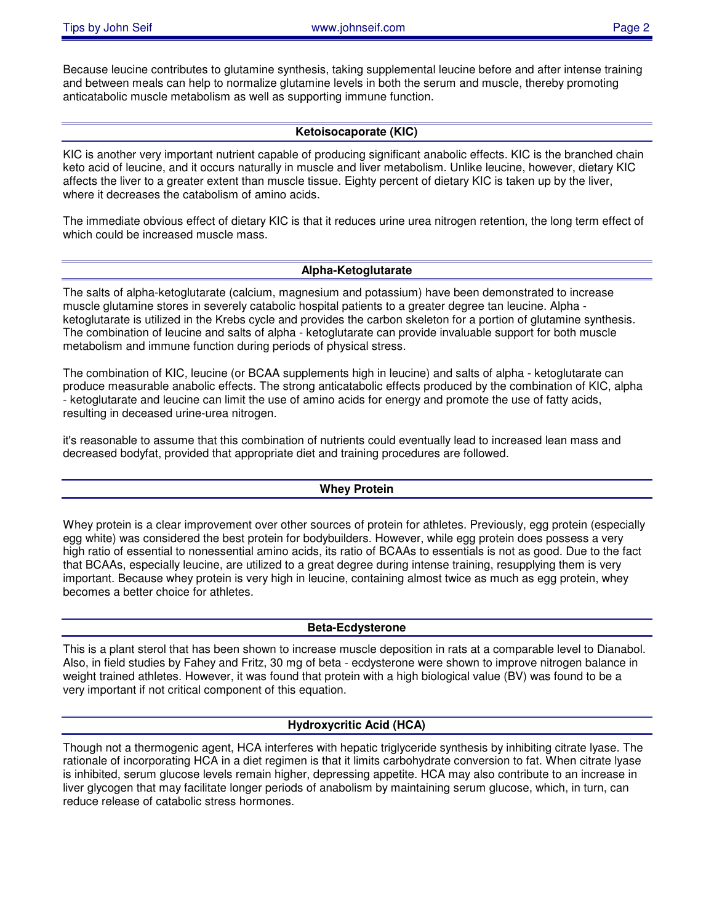Because leucine contributes to glutamine synthesis, taking supplemental leucine before and after intense training and between meals can help to normalize glutamine levels in both the serum and muscle, thereby promoting anticatabolic muscle metabolism as well as supporting immune function.

## **Ketoisocaporate (KIC)**

KIC is another very important nutrient capable of producing significant anabolic effects. KIC is the branched chain keto acid of leucine, and it occurs naturally in muscle and liver metabolism. Unlike leucine, however, dietary KIC affects the liver to a greater extent than muscle tissue. Eighty percent of dietary KIC is taken up by the liver, where it decreases the catabolism of amino acids.

The immediate obvious effect of dietary KIC is that it reduces urine urea nitrogen retention, the long term effect of which could be increased muscle mass.

## **Alpha-Ketoglutarate**

The salts of alpha-ketoglutarate (calcium, magnesium and potassium) have been demonstrated to increase muscle glutamine stores in severely catabolic hospital patients to a greater degree tan leucine. Alpha ketoglutarate is utilized in the Krebs cycle and provides the carbon skeleton for a portion of glutamine synthesis. The combination of leucine and salts of alpha - ketoglutarate can provide invaluable support for both muscle metabolism and immune function during periods of physical stress.

The combination of KIC, leucine (or BCAA supplements high in leucine) and salts of alpha - ketoglutarate can produce measurable anabolic effects. The strong anticatabolic effects produced by the combination of KIC, alpha - ketoglutarate and leucine can limit the use of amino acids for energy and promote the use of fatty acids, resulting in deceased urine-urea nitrogen.

it's reasonable to assume that this combination of nutrients could eventually lead to increased lean mass and decreased bodyfat, provided that appropriate diet and training procedures are followed.

## **Whey Protein**

Whey protein is a clear improvement over other sources of protein for athletes. Previously, egg protein (especially egg white) was considered the best protein for bodybuilders. However, while egg protein does possess a very high ratio of essential to nonessential amino acids, its ratio of BCAAs to essentials is not as good. Due to the fact that BCAAs, especially leucine, are utilized to a great degree during intense training, resupplying them is very important. Because whey protein is very high in leucine, containing almost twice as much as egg protein, whey becomes a better choice for athletes.

## **Beta-Ecdysterone**

This is a plant sterol that has been shown to increase muscle deposition in rats at a comparable level to Dianabol. Also, in field studies by Fahey and Fritz, 30 mg of beta - ecdysterone were shown to improve nitrogen balance in weight trained athletes. However, it was found that protein with a high biological value (BV) was found to be a very important if not critical component of this equation.

## **Hydroxycritic Acid (HCA)**

Though not a thermogenic agent, HCA interferes with hepatic triglyceride synthesis by inhibiting citrate lyase. The rationale of incorporating HCA in a diet regimen is that it limits carbohydrate conversion to fat. When citrate lyase is inhibited, serum glucose levels remain higher, depressing appetite. HCA may also contribute to an increase in liver glycogen that may facilitate longer periods of anabolism by maintaining serum glucose, which, in turn, can reduce release of catabolic stress hormones.